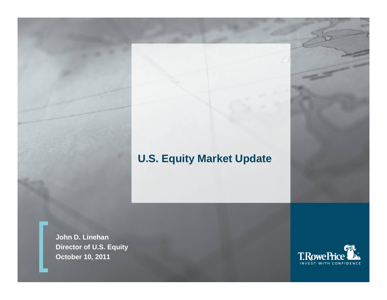# **U.S. Equity Market Update**

**John D. Linehan Director of U.S. Equity October 10, 2011**

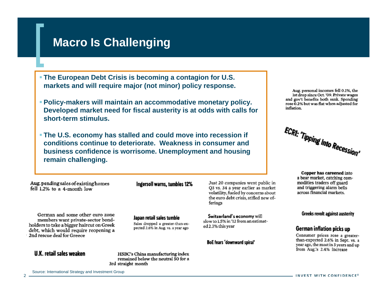# **Macro Is Challenging**

- **The European Debt Crisis is becoming a contagion for U.S. markets and will require major (not minor) policy response.**
- **Policy-makers will maintain an accommodative monetary policy. Developed market need for fiscal austerity is at odds with calls for short-term stimulus.**
- **The U.S. economy has stalled and could move into recession if conditions continue to deteriorate. Weakness in consumer and business confidence is worrisome. Unemployment and housing remain challenging.**

Aug. pending sales of existing homes fell 1.2% to a 4-month low

Ingersoll warns, tumbles 12%

Japan retail sales tumbie

Sales dropped a greater-than-ex-

pected 2.6% in Aug. vs. a year ago

German and some other euro zone members want private-sector bondholders to take a bigger haircut on Greek debt, which would require reopening a 2nd rescue deal for Greece

#### **U.K. retail sales weaken**

HSBC's China manufacturing index remained below the neutral 50 for a 3rd straight month

Just 20 companies went public in O3 vs. 34 a year earlier as market volatility, fueled by concerns about the euro debt crisis, stifled new offerings

Switzerland's economy will slow to 1.5% in '12 from an estimated 2.3% this year

**BoE fears 'downward spiral'** 

Aug. personal incomes fell 0.1%, the 1st drop since Oct. '09. Private wages and gov't benefits both sank. Spending rose 0.2% but was flat when adjusted for inflation.



Copper has careened into a bear market, catching commodities traders off guard and triggering alarm bells across financial markets.

#### **Greeks revolt against austerity**

#### German inflation picks up

Consumer prices rose a greaterthan-expected 2.6% in Sept. vs. a year ago, the most in 3 years and up from Aug.'s 2.4% increase

Source: International Strategy and Investment Group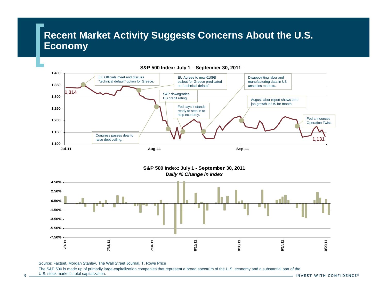## **Recent Market Activity Suggests Concerns About the U.S. Economy**



**S&P 500 Index: July 1 - September 30, 2011** *Daily % Change in Index*



Source: Factset, Morgan Stanley, The Wall Street Journal, T. Rowe Price

The S&P 500 is made up of primarily large-capitalization companies that represent a broad spectrum of the U.S. economy and a substantial part of the

U.S. stock market's total capitalization.

3

INVEST WITH CONFIDENCE®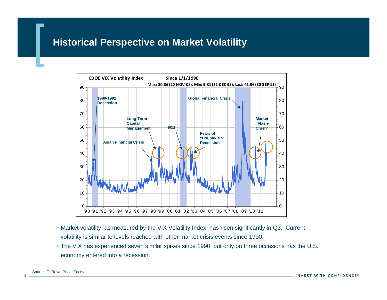#### **Historical Perspective on Market Volatility**



- Market volatility, as measured by the VIX Volatility Index, has risen significantly in Q3. Current volatility is similar to levels reached with other market crisis events since 1990.
- The VIX has experienced seven similar spikes since 1990, but only on three occasions has the U.S. economy entered into a recession.

4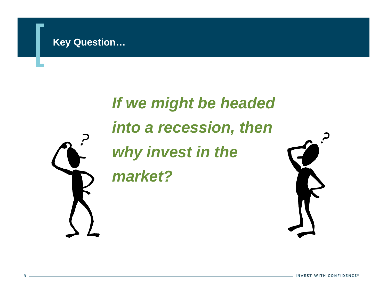# *If we might be headed into a recession, then why invest in the market?*



INVEST WITH CONFIDENCE®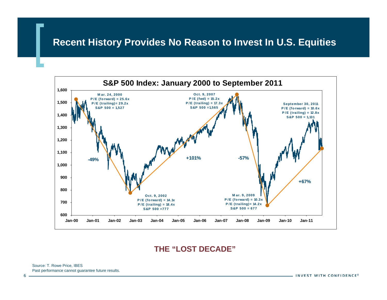#### **Recent History Provides No Reason to Invest In U.S. Equities**



#### **THE "LOST DECADE"**

Source: T. Rowe Price, IBES Past performance cannot guarantee future results.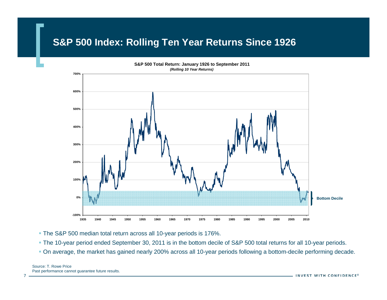### **S&P 500 Index: Rolling Ten Year Returns Since 1926**



The S&P 500 median total return across all 10-year periods is 176%.

The 10-year period ended September 30, 2011 is in the bottom decile of S&P 500 total returns for all 10-year periods.

On average, the market has gained nearly 200% across all 10-year periods following a bottom-decile performing decade.

7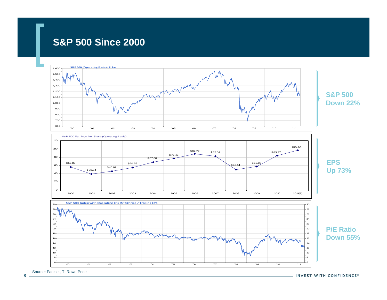#### **S&P 500 Since 2000**



8

- INVEST WITH CONFIDENCE®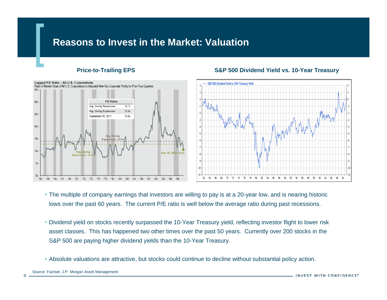#### **Reasons to Invest in the Market: Valuation**



#### **Price-to-Trailing EPS S&P 500 Dividend Yield vs. 10-Year Treasury**



- The multiple of company earnings that investors are willing to pay is at a 20-year low, and is nearing historic lows over the past 60 years. The current P/E ratio is well below the average ratio during past recessions.
- Dividend yield on stocks recently surpassed the 10-Year Treasury yield, reflecting investor flight to lower risk asset classes. This has happened two other times over the past 50 years. Currently over 200 stocks in the S&P 500 are paying higher dividend yields than the 10-Year Treasury.
- Absolute valuations are attractive, but stocks could continue to decline without substantial policy action.

9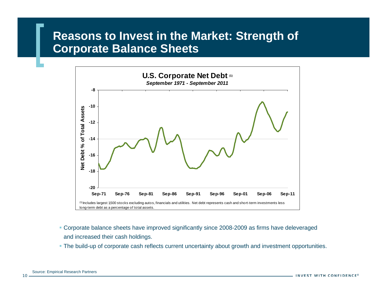# **Reasons to Invest in the Market: Strength of Corporate Balance Sheets**



- Corporate balance sheets have improved significantly since 2008-2009 as firms have deleveraged and increased their cash holdings.
- The build-up of corporate cash reflects current uncertainty about growth and investment opportunities.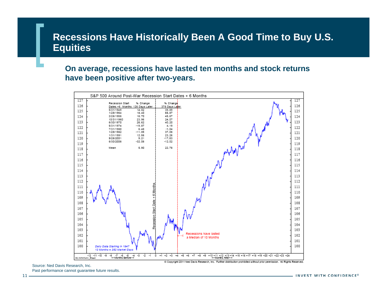#### **Recessions Have Historically Been A Good Time to Buy U.S. Equities**

**On average, recessions have lasted ten months and stock returns have been positive after two-years.**



Source: Ned Davis Research, Inc. Past performance cannot guarantee future results.

INVEST WITH CONFIDENCE®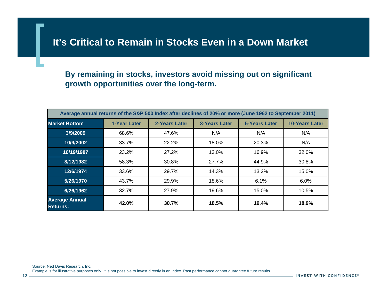#### **It's Critical to Remain in Stocks Even in a Down Market**

#### **By remaining in stocks, investors avoid missing out on significant growth opportunities over the long-term.**

| Average annual returns of the S&P 500 Index after declines of 20% or more (June 1962 to September 2011) |              |               |                      |                      |                       |
|---------------------------------------------------------------------------------------------------------|--------------|---------------|----------------------|----------------------|-----------------------|
| <b>Market Bottom</b>                                                                                    | 1-Year Later | 2-Years Later | <b>3-Years Later</b> | <b>5-Years Later</b> | <b>10-Years Later</b> |
| 3/9/2009                                                                                                | 68.6%        | 47.6%         | N/A                  | N/A                  | N/A                   |
| 10/9/2002                                                                                               | 33.7%        | 22.2%         | 18.0%                | 20.3%                | N/A                   |
| 10/19/1987                                                                                              | 23.2%        | 27.2%         | 13.0%                | 16.9%                | 32.0%                 |
| 8/12/1982                                                                                               | 58.3%        | 30.8%         | 27.7%                | 44.9%                | 30.8%                 |
| 12/6/1974                                                                                               | 33.6%        | 29.7%         | 14.3%                | 13.2%                | 15.0%                 |
| 5/26/1970                                                                                               | 43.7%        | 29.9%         | 18.6%                | 6.1%                 | 6.0%                  |
| 6/26/1962                                                                                               | 32.7%        | 27.9%         | 19.6%                | 15.0%                | 10.5%                 |
| <b>Average Annual</b><br><b>Returns:</b>                                                                | 42.0%        | 30.7%         | 18.5%                | 19.4%                | 18.9%                 |

Source: Ned Davis Research, Inc. Example is for illustrative purposes only. It is not possible to invest directly in an index. Past performance cannot guarantee future results.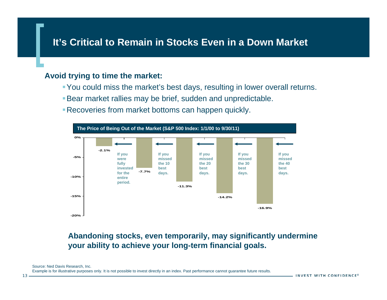#### **It's Critical to Remain in Stocks Even in a Down Market**

#### **Avoid trying to time the market:**

- You could miss the market's best days, resulting in lower overall returns.
- Bear market rallies may be brief, sudden and unpredictable.
- Recoveries from market bottoms can happen quickly.



#### **Abandoning stocks, even temporarily, may significantly undermine your ability to achieve your long-term financial goals.**

Example is for illustrative purposes only. It is not possible to invest directly in an index. Past performance cannot guarantee future results.